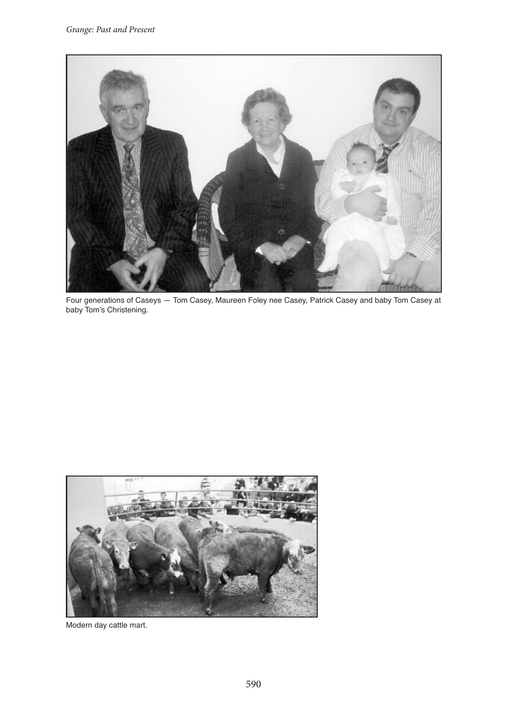

Four generations of Caseys — Tom Casey, Maureen Foley nee Casey, Patrick Casey and baby Tom Casey at baby Tom's Christening.

<span id="page-0-0"></span>

Modern day cattle mart.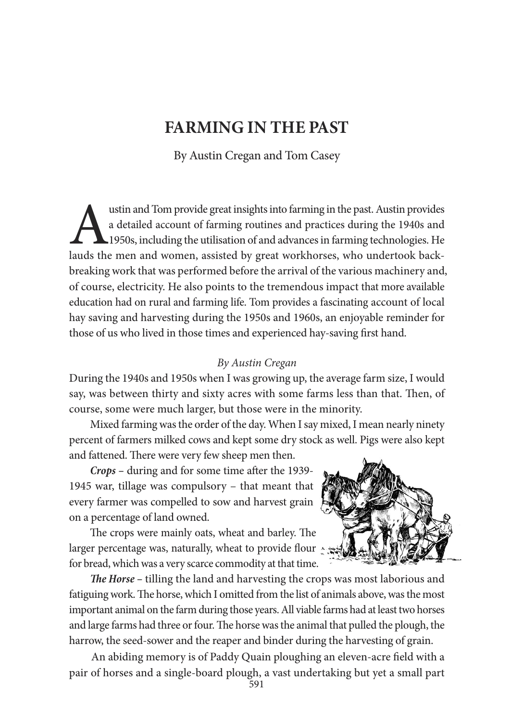## **FARMING IN THE PAST**

By Austin Cregan and Tom Casey

ustin and Tom provide great insights into farming in the past. Austin provides<br>a detailed account of farming routines and practices during the 1940s and<br>1950s, including the utilisation of and advances in farming technolog a detailed account of farming routines and practices during the 1940s and 1950s, including the utilisation of and advancesin farming technologies. He lauds the men and women, assisted by great workhorses, who undertook backbreaking work that was performed before the arrival of the various machinery and, of course, electricity. He also points to the tremendous impact that more available education had on rural and farming life. Tom provides a fascinating account of local hay saving and harvesting during the 1950s and 1960s, an enjoyable reminder for those of us who lived in those times and experienced hay-saving frst hand.

## By Austin Cregan

During the 1940s and 1950s when I was growing up, the average farm size, I would say, was between thirty and sixty acres with some farms less than that. Then, of course, some were much larger, but those were in the minority.

Mixed farming was the order of the day. When I say mixed, I mean nearly ninety percent of farmers milked cows and kept some dry stock as well. Pigs were also kept and fattened. There were very few sheep men then.

**Crops** – during and for some time after the 1939-1945 war, tillage was compulsory – that meant that every farmer was compelled to sow and harvest grain on a percentage of land owned.

The crops were mainly oats, wheat and barley. The larger percentage was, naturally, wheat to provide flour for bread, which was a very scarce commodity at that time.



**Te Horse –** tilling the land and harvesting the crops was most laborious and fatiguing work. The horse, which I omitted from the list of animals above, was the most important animal on the farm during those years. All viable farms had at least two horses and large farms had three or four. The horse was the animal that pulled the plough, the harrow, the seed-sower and the reaper and binder during the harvesting of grain.

An abiding memory is of Paddy Quain ploughing an eleven-acre feld with a pair of horses and a single-board plough, a vast undertaking but yet a small part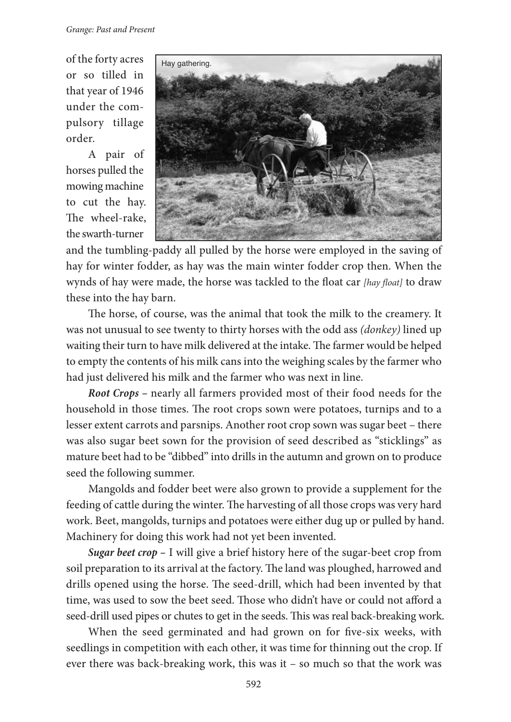of the forty acres or so tilled in that year of 1946 under the compulsory tillage order.

A pair of horses pulled the mowing machine to cut the hay. The wheel-rake, the swarth-turner



and the tumbling-paddy all pulled by the horse were employed in the saving of hay for winter fodder, as hay was the main winter fodder crop then. When the wynds of hay were made, the horse was tackled to the float car [hay float] to draw these into the hay barn.

The horse, of course, was the animal that took the milk to the creamery. It was not unusual to see twenty to thirty horses with the odd ass *(donkey)* lined up waiting their turn to have milk delivered at the intake. The farmer would be helped to empty the contents of his milk cans into the weighing scales by the farmer who had just delivered his milk and the farmer who was next in line.

**Root Crops –** nearly all farmers provided most of their food needs for the household in those times. The root crops sown were potatoes, turnips and to a lesser extent carrots and parsnips. Another root crop sown was sugar beet – there was also sugar beet sown for the provision of seed described as "sticklings" as mature beet had to be "dibbed" into drills in the autumn and grown on to produce seed the following summer.

Mangolds and fodder beet were also grown to provide a supplement for the feeding of cattle during the winter. The harvesting of all those crops was very hard work. Beet, mangolds, turnips and potatoes were either dug up or pulled by hand. Machinery for doing this work had not yet been invented.

**Sugar beet crop –** I will give a brief history here of the sugar-beet crop from soil preparation to its arrival at the factory. The land was ploughed, harrowed and drills opened using the horse. The seed-drill, which had been invented by that time, was used to sow the beet seed. Those who didn't have or could not afford a seed-drill used pipes or chutes to get in the seeds. This was real back-breaking work.

When the seed germinated and had grown on for five-six weeks, with seedlings in competition with each other, it was time for thinning out the crop. If ever there was back-breaking work, this was it – so much so that the work was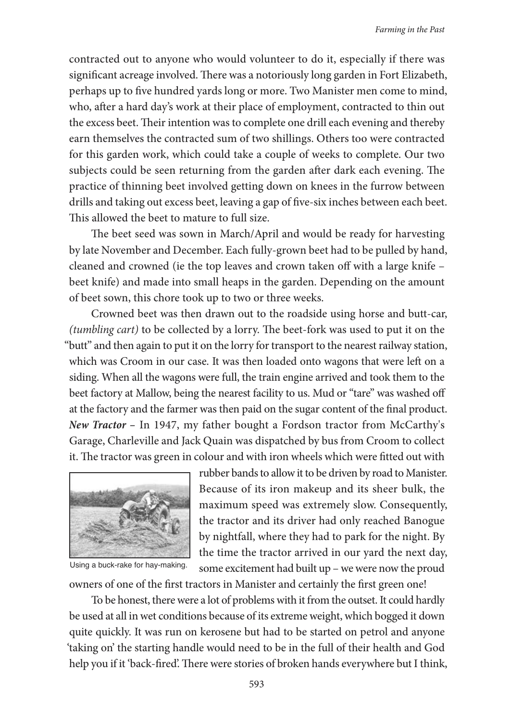contracted out to anyone who would volunteer to do it, especially if there was significant acreage involved. There was a notoriously long garden in Fort Elizabeth, perhaps up to fve hundred yards long or more. Two Manister men come to mind, who, after a hard day's work at their place of employment, contracted to thin out the excess beet. Their intention was to complete one drill each evening and thereby earn themselves the contracted sum of two shillings. Others too were contracted for this garden work, which could take a couple of weeks to complete. Our two subjects could be seen returning from the garden after dark each evening. The practice of thinning beet involved getting down on knees in the furrow between drills and taking out excess beet, leaving a gap of fve-six inches between each beet. This allowed the beet to mature to full size.

The beet seed was sown in March/April and would be ready for harvesting by late November and December. Each fully-grown beet had to be pulled by hand, cleaned and crowned (ie the top leaves and crown taken off with a large knife – beet knife) and made into small heaps in the garden. Depending on the amount of beet sown, this chore took up to two or three weeks.

Crowned beet was then drawn out to the roadside using horse and butt-car,  $(tumbling cart)$  to be collected by a lorry. The beet-fork was used to put it on the "butt" and then again to put it on the lorry for transport to the nearest railway station, which was Croom in our case. It was then loaded onto wagons that were left on a siding. When all the wagons were full, the train engine arrived and took them to the beet factory at Mallow, being the nearest facility to us. Mud or "tare" was washed of at the factory and the farmer was then paid on the sugar content of the fnal product. **New Tractor –** In 1947, my father bought a Fordson tractor from McCarthy's Garage, Charleville and Jack Quain was dispatched by bus from Croom to collect it. The tractor was green in colour and with iron wheels which were fitted out with



Using a buck-rake for hay-making.

rubber bands to allow it to be driven by road to Manister. Because of its iron makeup and its sheer bulk, the maximum speed was extremely slow. Consequently, the tractor and its driver had only reached Banogue by nightfall, where they had to park for the night. By the time the tractor arrived in our yard the next day, some excitement had built up – we were now the proud

owners of one of the frst tractors in Manister and certainly the frst green one!

To be honest, there were a lot of problems with it from the outset. It could hardly be used at all in wet conditions because of its extreme weight, which bogged it down quite quickly. It was run on kerosene but had to be started on petrol and anyone 'taking on' the starting handle would need to be in the full of their health and God help you if it 'back-fired'. There were stories of broken hands everywhere but I think,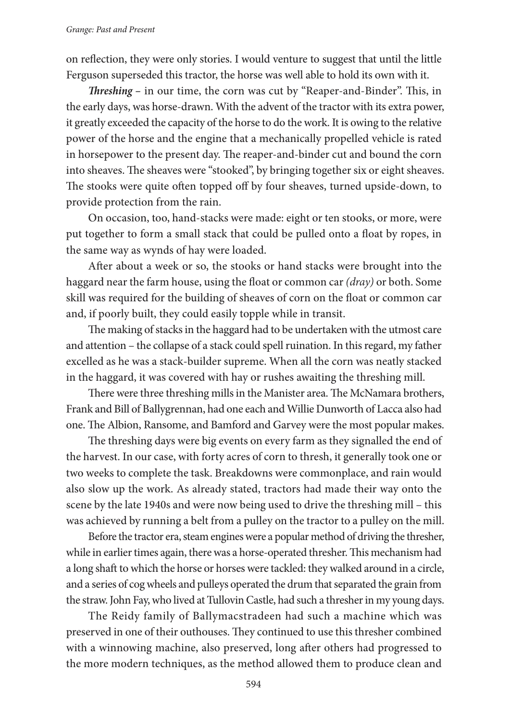on refection, they were only stories. I would venture to suggest that until the little Ferguson superseded this tractor, the horse was well able to hold its own with it.

**Threshing** – in our time, the corn was cut by "Reaper-and-Binder". This, in the early days, was horse-drawn. With the advent of the tractor with its extra power, it greatly exceeded the capacity of the horse to do the work.It is owing to the relative power of the horse and the engine that a mechanically propelled vehicle is rated in horsepower to the present day. The reaper-and-binder cut and bound the corn into sheaves. The sheaves were "stooked", by bringing together six or eight sheaves. The stooks were quite often topped off by four sheaves, turned upside-down, to provide protection from the rain.

On occasion, too, hand-stacks were made: eight or ten stooks, or more, were put together to form a small stack that could be pulled onto a foat by ropes, in the same way as wynds of hay were loaded.

Afer about a week or so, the stooks or hand stacks were brought into the haggard near the farm house, using the foat or common car (dray) or both. Some skill was required for the building of sheaves of corn on the foat or common car and, if poorly built, they could easily topple while in transit.

The making of stacks in the haggard had to be undertaken with the utmost care and attention – the collapse of a stack could spell ruination. In this regard, my father excelled as he was a stack-builder supreme. When all the corn was neatly stacked in the haggard, it was covered with hay or rushes awaiting the threshing mill.

There were three threshing mills in the Manister area. The McNamara brothers, Frank and Bill of Ballygrennan, had one each andWillie Dunworth of Lacca also had one. The Albion, Ransome, and Bamford and Garvey were the most popular makes.

The threshing days were big events on every farm as they signalled the end of the harvest. In our case, with forty acres of corn to thresh, it generally took one or two weeks to complete the task. Breakdowns were commonplace, and rain would also slow up the work. As already stated, tractors had made their way onto the scene by the late 1940s and were now being used to drive the threshing mill – this was achieved by running a belt from a pulley on the tractor to a pulley on the mill.

Before the tractor era, steam engines were a popular method of driving the thresher, while in earlier times again, there was a horse-operated thresher. This mechanism had a long shaft to which the horse or horses were tackled: they walked around in a circle, and a series of cog wheels and pulleys operated the drum that separated the grain from the straw.John Fay,who lived at TullovinCastle, had such a thresherin my young days.

The Reidy family of Ballymacstradeen had such a machine which was preserved in one of their outhouses. They continued to use this thresher combined with a winnowing machine, also preserved, long afer others had progressed to the more modern techniques, as the method allowed them to produce clean and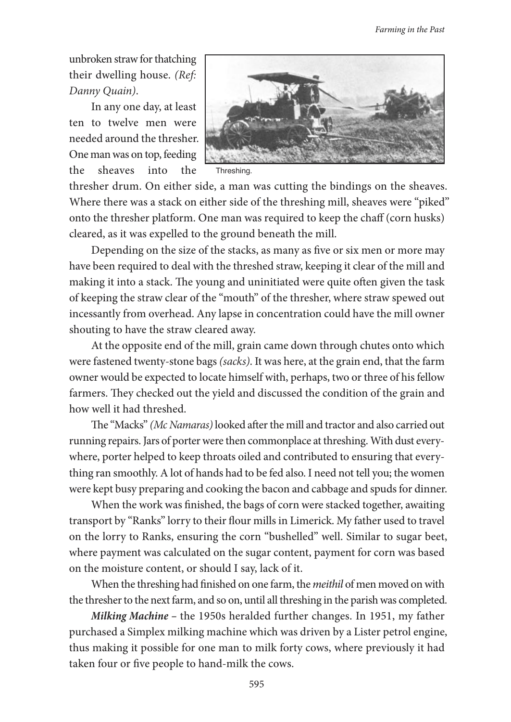unbroken straw for thatching their dwelling house. (Ref: Danny Quain).

In any one day, at least ten to twelve men were needed around the thresher. One man was on top, feeding the sheaves into the



Threshing.

thresher drum. On either side, a man was cutting the bindings on the sheaves. Where there was a stack on either side of the threshing mill, sheaves were "piked" onto the thresher platform. One man was required to keep the chaff (corn husks) cleared, as it was expelled to the ground beneath the mill.

Depending on the size of the stacks, as many as fve or six men or more may have been required to deal with the threshed straw, keeping it clear of the mill and making it into a stack. The young and uninitiated were quite often given the task of keeping the straw clear of the "mouth" of the thresher, where straw spewed out incessantly from overhead. Any lapse in concentration could have the mill owner shouting to have the straw cleared away.

At the opposite end of the mill, grain came down through chutes onto which were fastened twenty-stone bags (sacks). It was here, at the grain end, that the farm owner would be expected to locate himself with, perhaps, two or three of his fellow farmers. They checked out the yield and discussed the condition of the grain and how well it had threshed.

The "Macks" (Mc Namaras) looked after the mill and tractor and also carried out running repairs. Jars of porter were then commonplace at threshing. With dust everywhere, porter helped to keep throats oiled and contributed to ensuring that everything ran smoothly. A lot of hands had to be fed also. I need not tell you; the women were kept busy preparing and cooking the bacon and cabbage and spudsfor dinner.

When the work was fnished, the bags of corn were stacked together, awaiting transport by "Ranks" lorry to their four millsin Limerick. My father used to travel on the lorry to Ranks, ensuring the corn "bushelled" well. Similar to sugar beet, where payment was calculated on the sugar content, payment for corn was based on the moisture content, or should I say, lack of it.

When the threshing had finished on one farm, the *meithil* of men moved on with the thresherto the next farm, and so on, until all threshing in the parishwas completed.

**Milking Machine –** the 1950s heralded further changes. In 1951, my father purchased a Simplex milking machine which was driven by a Lister petrol engine, thus making it possible for one man to milk forty cows, where previously it had taken four or fve people to hand-milk the cows.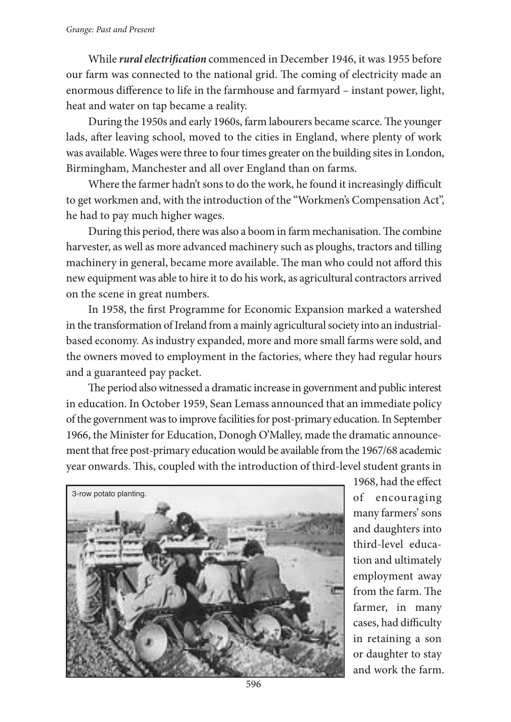While *rural electrification* commenced in December 1946, it was 1955 before our farm was connected to the national grid. The coming of electricity made an enormous diference to life in the farmhouse and farmyard – instant power, light, heat and water on tap became a reality.

During the 1950s and early 1960s, farm labourers became scarce. The younger lads, afer leaving school, moved to the cities in England, where plenty of work was available. Wages were three to four times greater on the building sites in London, Birmingham, Manchester and all over England than on farms.

Where the farmer hadn't sons to do the work, he found it increasingly difficult to get workmen and, with the introduction of the "Workmen's Compensation Act", he had to pay much higher wages.

During this period, there was also a boom in farm mechanisation. The combine harvester, as well as more advanced machinery such as ploughs, tractors and tilling machinery in general, became more available. The man who could not afford this new equipment was able to hire it to do his work, as agricultural contractors arrived on the scene in great numbers.

In 1958, the frst Programme for Economic Expansion marked a watershed in the transformation of Ireland from a mainly agricultural society into an industrialbased economy. As industry expanded, more and more small farms were sold, and the owners moved to employment in the factories, where they had regular hours and a guaranteed pay packet.

The period also witnessed a dramatic increase in government and public interest in education. In October 1959, Sean Lemass announced that an immediate policy ofthe governmentwasto improve facilitiesfor post-primary education.In September 1966, the Minister for Education, Donogh O'Malley, made the dramatic announcement that free post-primary education would be available from the 1967/68 academic year onwards. This, coupled with the introduction of third-level student grants in



1968, had the efect of encouraging many farmers'sons and daughters into third-level education and ultimately employment away from the farm. The farmer, in many cases, had difficulty in retaining a son or daughter to stay and work the farm.

596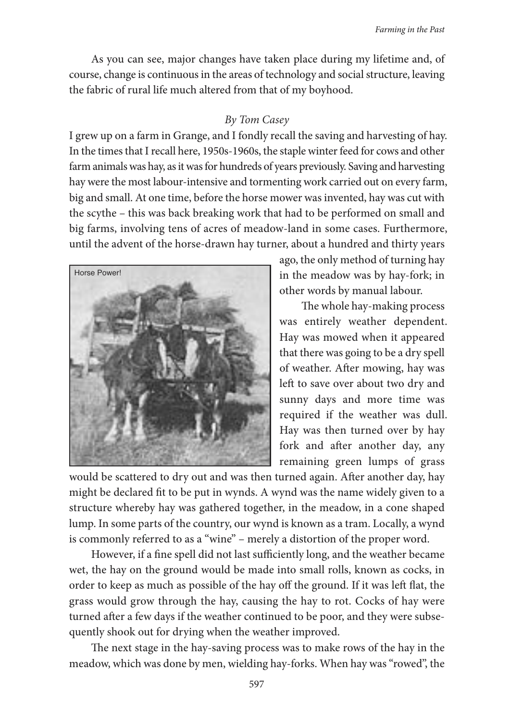As you can see, major changes have taken place during my lifetime and, of course, change is continuous in the areas of technology and social structure, leaving the fabric of rural life much altered from that of my boyhood.

## By Tom Casey

I grew up on a farm in Grange, and I fondly recall the saving and harvesting of hay. In the times that I recall here, 1950s-1960s, the staple winter feed for cows and other farm animals was hay, as it was for hundreds of years previously. Saving and harvesting hay were the most labour-intensive and tormenting work carried out on every farm, big and small. At one time, before the horse mower was invented, hay was cut with the scythe – this was back breaking work that had to be performed on small and big farms, involving tens of acres of meadow-land in some cases. Furthermore, until the advent of the horse-drawn hay turner, about a hundred and thirty years



ago, the only method of turning hay in the meadow was by hay-fork; in other words by manual labour.

The whole hay-making process was entirely weather dependent. Hay was mowed when it appeared that there was going to be a dry spell of weather. Afer mowing, hay was left to save over about two dry and sunny days and more time was required if the weather was dull. Hay was then turned over by hay fork and afer another day, any remaining green lumps of grass

would be scattered to dry out and was then turned again. Afer another day, hay might be declared ft to be put in wynds. A wynd was the name widely given to a structure whereby hay was gathered together, in the meadow, in a cone shaped lump. In some parts of the country, our wynd is known as a tram. Locally, a wynd is commonly referred to as a "wine" – merely a distortion of the proper word.

However, if a fine spell did not last sufficiently long, and the weather became wet, the hay on the ground would be made into small rolls, known as cocks, in order to keep as much as possible of the hay off the ground. If it was left flat, the grass would grow through the hay, causing the hay to rot. Cocks of hay were turned afer a few days if the weather continued to be poor, and they were subsequently shook out for drying when the weather improved.

The next stage in the hay-saving process was to make rows of the hay in the meadow, which was done by men, wielding hay-forks. When hay was "rowed", the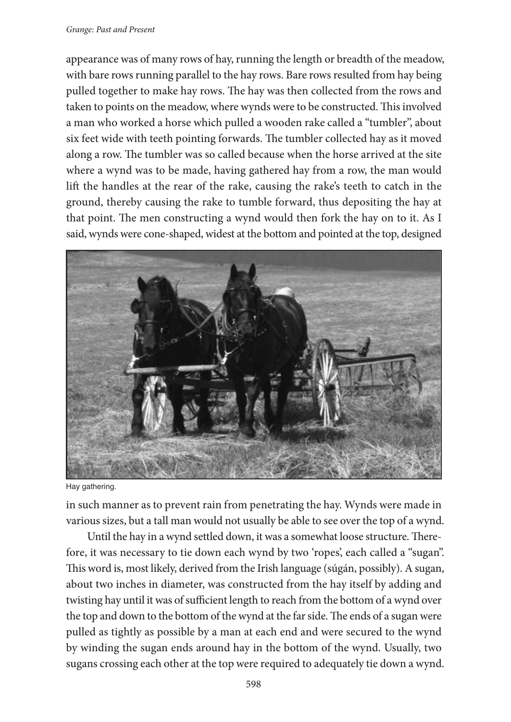## Grange: Past and Present

appearance was of many rows of hay, running the length or breadth of the meadow, with bare rows running parallel to the hay rows. Bare rows resulted from hay being pulled together to make hay rows. The hay was then collected from the rows and taken to points on the meadow, where wynds were to be constructed. This involved a man who worked a horse which pulled a wooden rake called a "tumbler", about six feet wide with teeth pointing forwards. The tumbler collected hay as it moved along a row. The tumbler was so called because when the horse arrived at the site where a wynd was to be made, having gathered hay from a row, the man would lif the handles at the rear of the rake, causing the rake's teeth to catch in the ground, thereby causing the rake to tumble forward, thus depositing the hay at that point. The men constructing a wynd would then fork the hay on to it. As I said, wynds were cone-shaped, widest at the bottom and pointed at the top, designed



Hay gathering.

in such manner as to prevent rain from penetrating the hay. Wynds were made in various sizes, but a tall man would not usually be able to see overthe top of a wynd.

Until the hay in a wynd settled down, it was a somewhat loose structure. Therefore, it was necessary to tie down each wynd by two 'ropes', each called a "sugan". This word is, most likely, derived from the Irish language (súgán, possibly). A sugan, about two inches in diameter, was constructed from the hay itself by adding and twisting hay until it was of sufficient length to reach from the bottom of a wynd over the top and down to the bottom of the wynd at the far side. The ends of a sugan were pulled as tightly as possible by a man at each end and were secured to the wynd by winding the sugan ends around hay in the bottom of the wynd. Usually, two sugans crossing each other at the top were required to adequately tie down a wynd.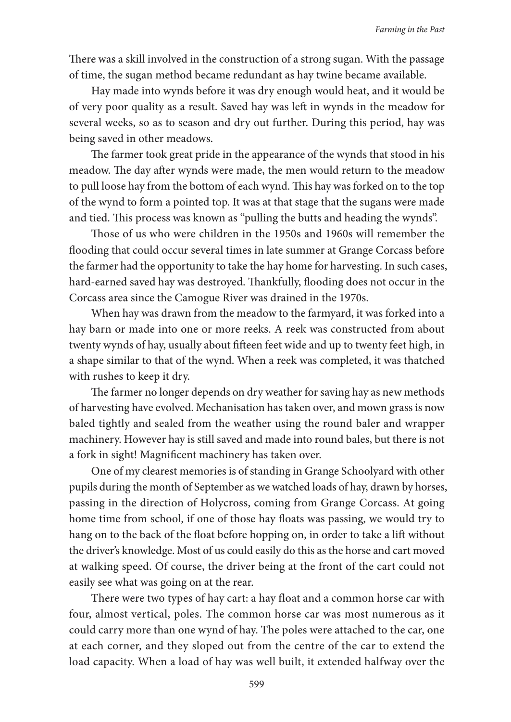There was a skill involved in the construction of a strong sugan. With the passage of time, the sugan method became redundant as hay twine became available.

Hay made into wynds before it was dry enough would heat, and it would be of very poor quality as a result. Saved hay was lef in wynds in the meadow for several weeks, so as to season and dry out further. During this period, hay was being saved in other meadows.

The farmer took great pride in the appearance of the wynds that stood in his meadow. The day after wynds were made, the men would return to the meadow to pull loose hay from the bottom of each wynd. Tis hay was forked on to the top of the wynd to form a pointed top. It was at that stage that the sugans were made and tied. This process was known as "pulling the butts and heading the wynds".

Those of us who were children in the 1950s and 1960s will remember the fooding that could occur several times in late summer at Grange Corcass before the farmer had the opportunity to take the hay home for harvesting. In such cases, hard-earned saved hay was destroyed. Thankfully, flooding does not occur in the Corcass area since the Camogue River was drained in the 1970s.

When hay was drawn from the meadow to the farmyard, it was forked into a hay barn or made into one or more reeks. A reek was constructed from about twenty wynds of hay, usually about fifteen feet wide and up to twenty feet high, in a shape similar to that of the wynd. When a reek was completed, it was thatched with rushes to keep it dry.

The farmer no longer depends on dry weather for saving hay as new methods of harvesting have evolved. Mechanisation has taken over, and mown grass is now baled tightly and sealed from the weather using the round baler and wrapper machinery. However hay is still saved and made into round bales, but there is not a fork in sight! Magnifcent machinery has taken over.

One of my clearest memories is of standing in Grange Schoolyard with other pupils during the month of September as we watched loads of hay, drawn by horses, passing in the direction of Holycross, coming from Grange Corcass. At going home time from school, if one of those hay floats was passing, we would try to hang on to the back of the float before hopping on, in order to take a lift without the driver's knowledge. Most of us could easily do this as the horse and cart moved at walking speed. Of course, the driver being at the front of the cart could not easily see what was going on at the rear.

There were two types of hay cart: a hay float and a common horse car with four, almost vertical, poles. The common horse car was most numerous as it could carry more than one wynd of hay. The poles were attached to the car, one at each corner, and they sloped out from the centre of the car to extend the load capacity. When a load of hay was well built, it extended halfway over the